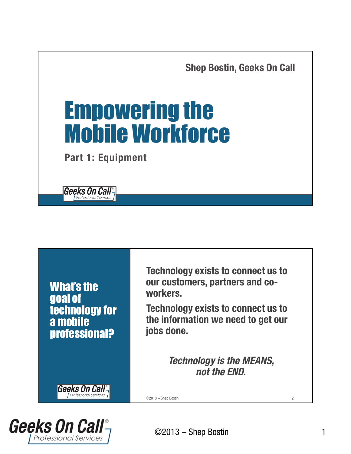

What's the goal of technology for a mobile professional?

**Geeks On Call** 

**Technology exists to connect us to our customers, partners and coworkers.**

**Technology exists to connect us to the information we need to get our jobs done.**

> *Technology is the MEANS, not the END.*

©2013 – Shep Bostin 2

**Geeks On Call**<sup>®</sup> **Professional Services**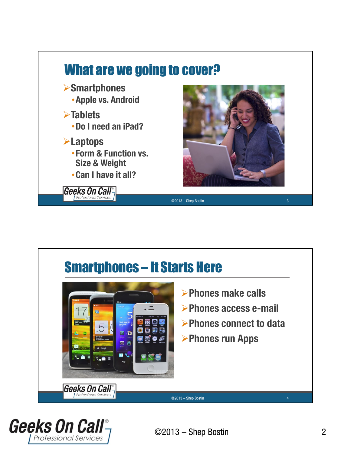



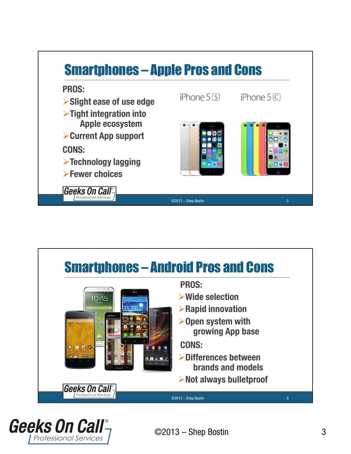



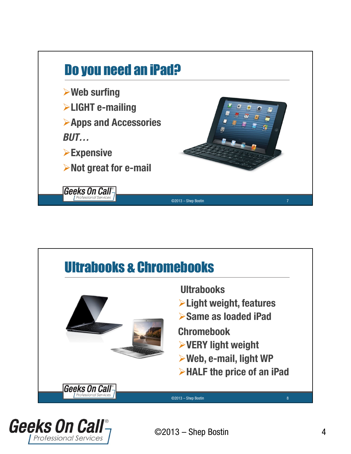



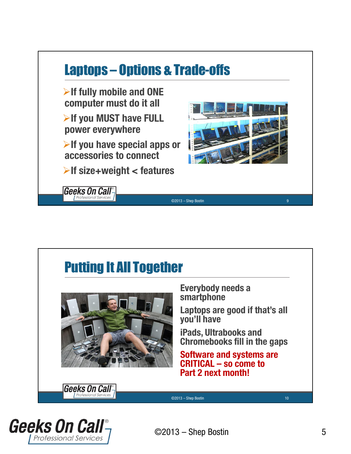